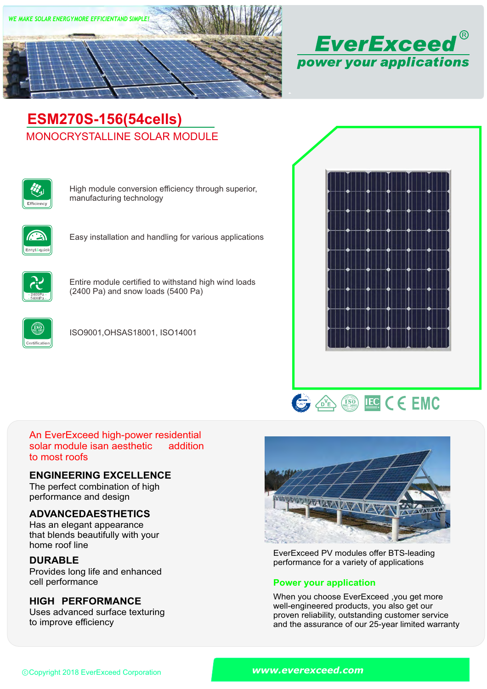



# MONOCRYSTALLINE SOLAR MODULE **ESM270S-156(54cells)**



High module conversion efficiency through superior, manufacturing technology



Easy installation and handling for various applications



Entire module certified to withstand high wind loads (2400 Pa) and snow loads (5400 Pa)



ISO9001,OHSAS18001, ISO14001





#### An EverExceed high-power residential solar module isan aesthetic to most roofs addition

### **ENGINEERING EXCELLENCE**

The perfect combination of high performance and design

# **ADVANCEDAESTHETICS**

Has an elegant appearance that blends beautifully with your home roof line

# **DURABLE**

Provides long life and enhanced<br>cell performance

# **HIGH PERFORMANCE**

Uses advanced surface texturing to improve efficiency



EverExceed PV modules offer BTS-leading performance for a variety of applications

### **Power your application**

When you choose EverExceed ,you get more well-engineered products, you also get our proven reliability, outstanding customer service and the assurance of our 25-year limited warranty